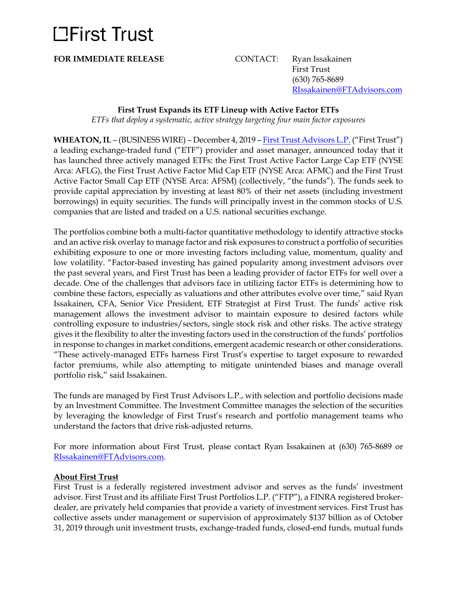# **LEirst Trust**

**FOR IMMEDIATE RELEASE** CONTACT: Ryan Issakainen First Trust (630) 765-8689 [RIssakainen@FTAdvisors.com](mailto:RIssakainen@FTAdvisors.com)

### **First Trust Expands its ETF Lineup with Active Factor ETFs**

*ETFs that deploy a systematic, active strategy targeting four main factor exposures*

**WHEATON, IL** – (BUSINESS WIRE) – December 4, 2019 – [First Trust Advisors L.P.](http://www.ftportfolios.com/) ("First Trust") a leading exchange-traded fund ("ETF") provider and asset manager, announced today that it has launched three actively managed ETFs: the First Trust Active Factor Large Cap ETF (NYSE Arca: AFLG), the First Trust Active Factor Mid Cap ETF (NYSE Arca: AFMC) and the First Trust Active Factor Small Cap ETF (NYSE Arca: AFSM) (collectively, "the funds"). The funds seek to provide capital appreciation by investing at least 80% of their net assets (including investment borrowings) in equity securities. The funds will principally invest in the common stocks of U.S. companies that are listed and traded on a U.S. national securities exchange.

The portfolios combine both a multi-factor quantitative methodology to identify attractive stocks and an active risk overlay to manage factor and risk exposures to construct a portfolio of securities exhibiting exposure to one or more investing factors including value, momentum, quality and low volatility. "Factor-based investing has gained popularity among investment advisors over the past several years, and First Trust has been a leading provider of factor ETFs for well over a decade. One of the challenges that advisors face in utilizing factor ETFs is determining how to combine these factors, especially as valuations and other attributes evolve over time," said Ryan Issakainen, CFA, Senior Vice President, ETF Strategist at First Trust. The funds' active risk management allows the investment advisor to maintain exposure to desired factors while controlling exposure to industries/sectors, single stock risk and other risks. The active strategy gives it the flexibility to alter the investing factors used in the construction of the funds' portfolios in response to changes in market conditions, emergent academic research or other considerations. "These actively-managed ETFs harness First Trust's expertise to target exposure to rewarded factor premiums, while also attempting to mitigate unintended biases and manage overall portfolio risk," said Issakainen.

The funds are managed by First Trust Advisors L.P., with selection and portfolio decisions made by an Investment Committee. The Investment Committee manages the selection of the securities by leveraging the knowledge of First Trust's research and portfolio management teams who understand the factors that drive risk-adjusted returns.

For more information about First Trust, please contact Ryan Issakainen at (630) 765-8689 or [RIssakainen@FTAdvisors.com.](mailto:RIssakainen@FTAdvisors.com)

### **About First Trust**

First Trust is a federally registered investment advisor and serves as the funds' investment advisor. First Trust and its affiliate First Trust Portfolios L.P. ("FTP"), a FINRA registered brokerdealer, are privately held companies that provide a variety of investment services. First Trust has collective assets under management or supervision of approximately \$137 billion as of October 31, 2019 through unit investment trusts, exchange-traded funds, closed-end funds, mutual funds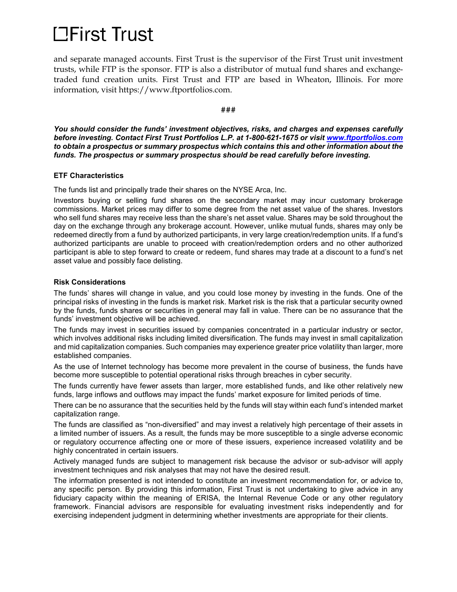# **LEirst Trust**

and separate managed accounts. First Trust is the supervisor of the First Trust unit investment trusts, while FTP is the sponsor. FTP is also a distributor of mutual fund shares and exchangetraded fund creation units. First Trust and FTP are based in Wheaton, Illinois. For more information, visit https://www.ftportfolios.com.

#### **###**

*You should consider the funds' investment objectives, risks, and charges and expenses carefully before investing. Contact First Trust Portfolios L.P. at 1-800-621-1675 or visit [www.ftportfolios.com](http://www.ftportfolios.com/) to obtain a prospectus or summary prospectus which contains this and other information about the funds. The prospectus or summary prospectus should be read carefully before investing.*

#### **ETF Characteristics**

The funds list and principally trade their shares on the NYSE Arca, Inc.

Investors buying or selling fund shares on the secondary market may incur customary brokerage commissions. Market prices may differ to some degree from the net asset value of the shares. Investors who sell fund shares may receive less than the share's net asset value. Shares may be sold throughout the day on the exchange through any brokerage account. However, unlike mutual funds, shares may only be redeemed directly from a fund by authorized participants, in very large creation/redemption units. If a fund's authorized participants are unable to proceed with creation/redemption orders and no other authorized participant is able to step forward to create or redeem, fund shares may trade at a discount to a fund's net asset value and possibly face delisting.

#### **Risk Considerations**

The funds' shares will change in value, and you could lose money by investing in the funds. One of the principal risks of investing in the funds is market risk. Market risk is the risk that a particular security owned by the funds, funds shares or securities in general may fall in value. There can be no assurance that the funds' investment objective will be achieved.

The funds may invest in securities issued by companies concentrated in a particular industry or sector, which involves additional risks including limited diversification. The funds may invest in small capitalization and mid capitalization companies. Such companies may experience greater price volatility than larger, more established companies.

As the use of Internet technology has become more prevalent in the course of business, the funds have become more susceptible to potential operational risks through breaches in cyber security.

The funds currently have fewer assets than larger, more established funds, and like other relatively new funds, large inflows and outflows may impact the funds' market exposure for limited periods of time.

There can be no assurance that the securities held by the funds will stay within each fund's intended market capitalization range.

The funds are classified as "non-diversified" and may invest a relatively high percentage of their assets in a limited number of issuers. As a result, the funds may be more susceptible to a single adverse economic or regulatory occurrence affecting one or more of these issuers, experience increased volatility and be highly concentrated in certain issuers.

Actively managed funds are subject to management risk because the advisor or sub-advisor will apply investment techniques and risk analyses that may not have the desired result.

The information presented is not intended to constitute an investment recommendation for, or advice to, any specific person. By providing this information, First Trust is not undertaking to give advice in any fiduciary capacity within the meaning of ERISA, the Internal Revenue Code or any other regulatory framework. Financial advisors are responsible for evaluating investment risks independently and for exercising independent judgment in determining whether investments are appropriate for their clients.